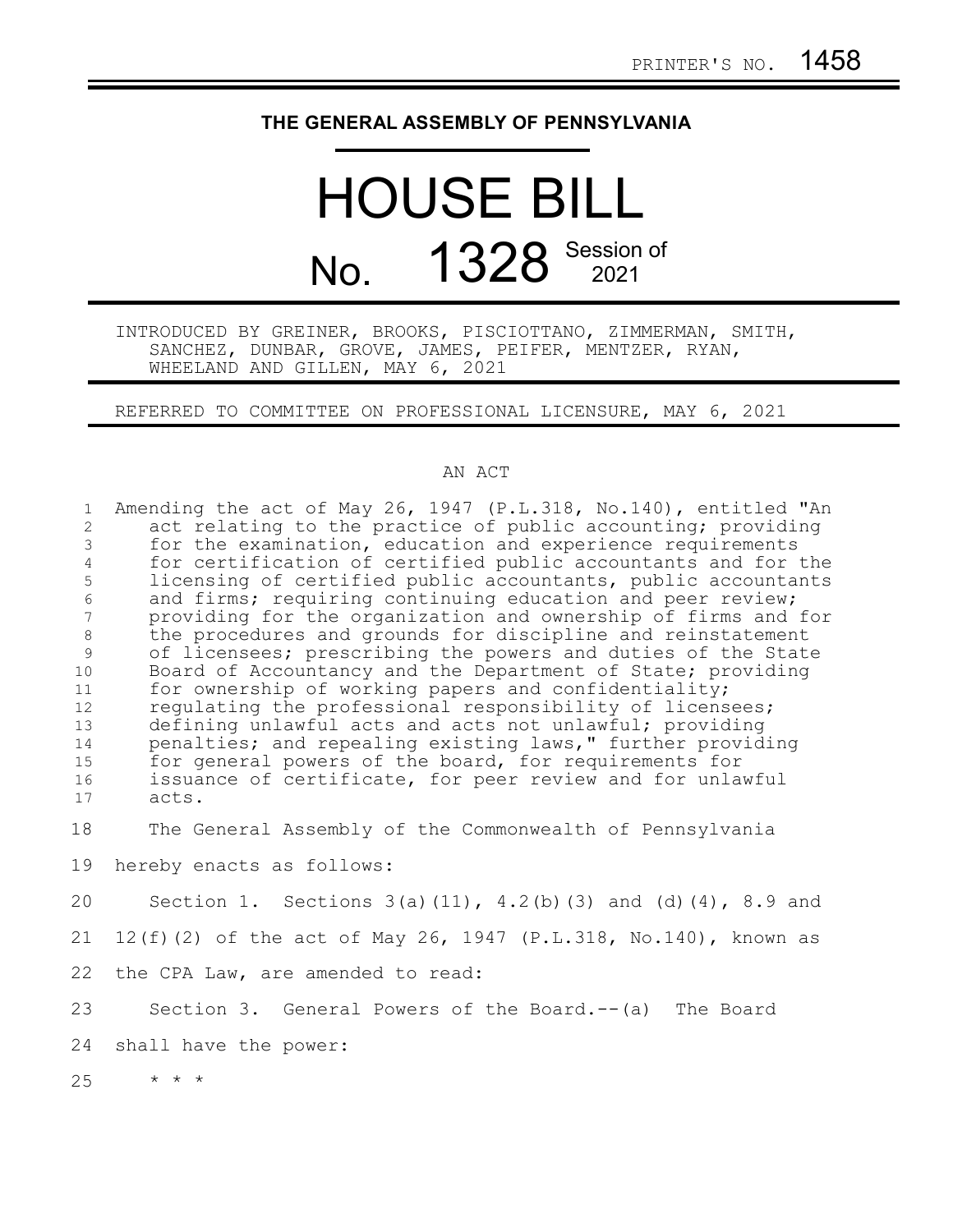## **THE GENERAL ASSEMBLY OF PENNSYLVANIA**

## HOUSE BILL No. 1328 Session of

## INTRODUCED BY GREINER, BROOKS, PISCIOTTANO, ZIMMERMAN, SMITH, SANCHEZ, DUNBAR, GROVE, JAMES, PEIFER, MENTZER, RYAN, WHEELAND AND GILLEN, MAY 6, 2021

REFERRED TO COMMITTEE ON PROFESSIONAL LICENSURE, MAY 6, 2021

## AN ACT

| $\mathbf{1}$   | Amending the act of May 26, 1947 (P.L.318, No.140), entitled "An       |
|----------------|------------------------------------------------------------------------|
| $\overline{2}$ | act relating to the practice of public accounting; providing           |
| 3              | for the examination, education and experience requirements             |
| $\overline{4}$ | for certification of certified public accountants and for the          |
| 5              | licensing of certified public accountants, public accountants          |
| $\epsilon$     | and firms; requiring continuing education and peer review;             |
| 7              | providing for the organization and ownership of firms and for          |
| $\,8\,$        | the procedures and grounds for discipline and reinstatement            |
| 9              | of licensees; prescribing the powers and duties of the State           |
| 10             | Board of Accountancy and the Department of State; providing            |
| 11             | for ownership of working papers and confidentiality;                   |
| 12             | regulating the professional responsibility of licensees;               |
| 13             | defining unlawful acts and acts not unlawful; providing                |
| 14             | penalties; and repealing existing laws," further providing             |
| 15             | for general powers of the board, for requirements for                  |
| 16             | issuance of certificate, for peer review and for unlawful              |
| 17             | acts.                                                                  |
| 18             | The General Assembly of the Commonwealth of Pennsylvania               |
| 19             | hereby enacts as follows:                                              |
| 20             | Section 1. Sections $3(a) (11)$ , $4.2(b) (3)$ and $(d) (4)$ , 8.9 and |
| 21             | 12(f)(2) of the act of May 26, 1947 (P.L.318, No.140), known as        |
| 22             | the CPA Law, are amended to read:                                      |
| 23             | Section 3. General Powers of the Board.-- (a) The Board                |
| 24             | shall have the power:                                                  |
| 25             | $\star$ $\star$ $\star$                                                |
|                |                                                                        |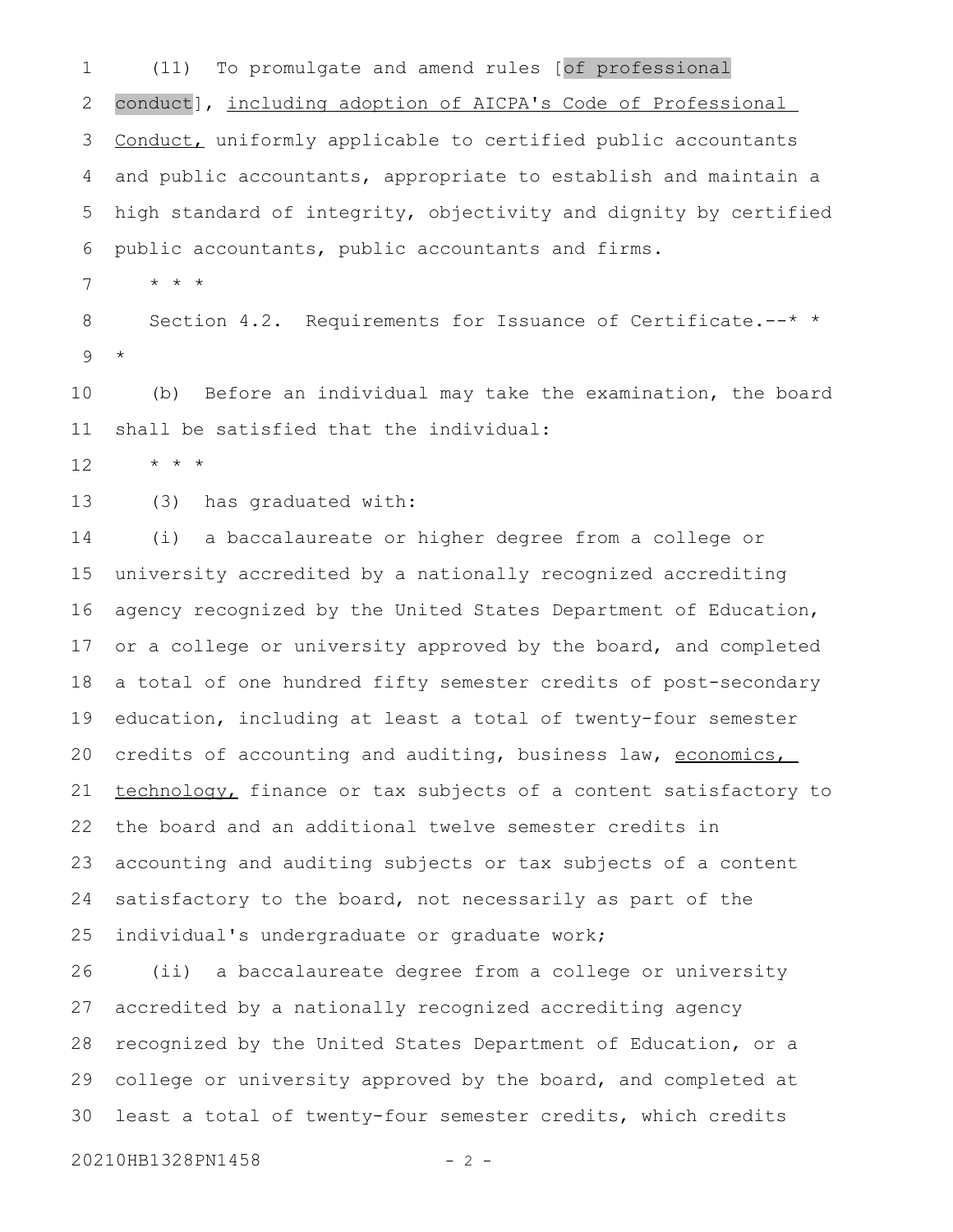(11) To promulgate and amend rules [of professional conduct], including adoption of AICPA's Code of Professional Conduct, uniformly applicable to certified public accountants and public accountants, appropriate to establish and maintain a high standard of integrity, objectivity and dignity by certified public accountants, public accountants and firms. 1 2 3 4 5 6

\* \* \* 7

Section 4.2. Requirements for Issuance of Certificate.--\* \* \* 8 9

(b) Before an individual may take the examination, the board shall be satisfied that the individual: 10 11

\* \* \* 12

(3) has graduated with: 13

(i) a baccalaureate or higher degree from a college or university accredited by a nationally recognized accrediting agency recognized by the United States Department of Education, or a college or university approved by the board, and completed a total of one hundred fifty semester credits of post-secondary education, including at least a total of twenty-four semester credits of accounting and auditing, business law, economics, technology, finance or tax subjects of a content satisfactory to the board and an additional twelve semester credits in accounting and auditing subjects or tax subjects of a content satisfactory to the board, not necessarily as part of the individual's undergraduate or graduate work; 14 15 16 17 18 19 20 21 22 23 24 25

(ii) a baccalaureate degree from a college or university accredited by a nationally recognized accrediting agency recognized by the United States Department of Education, or a college or university approved by the board, and completed at least a total of twenty-four semester credits, which credits 26 27 28 29 30

```
20210HB1328PN1458 - 2 -
```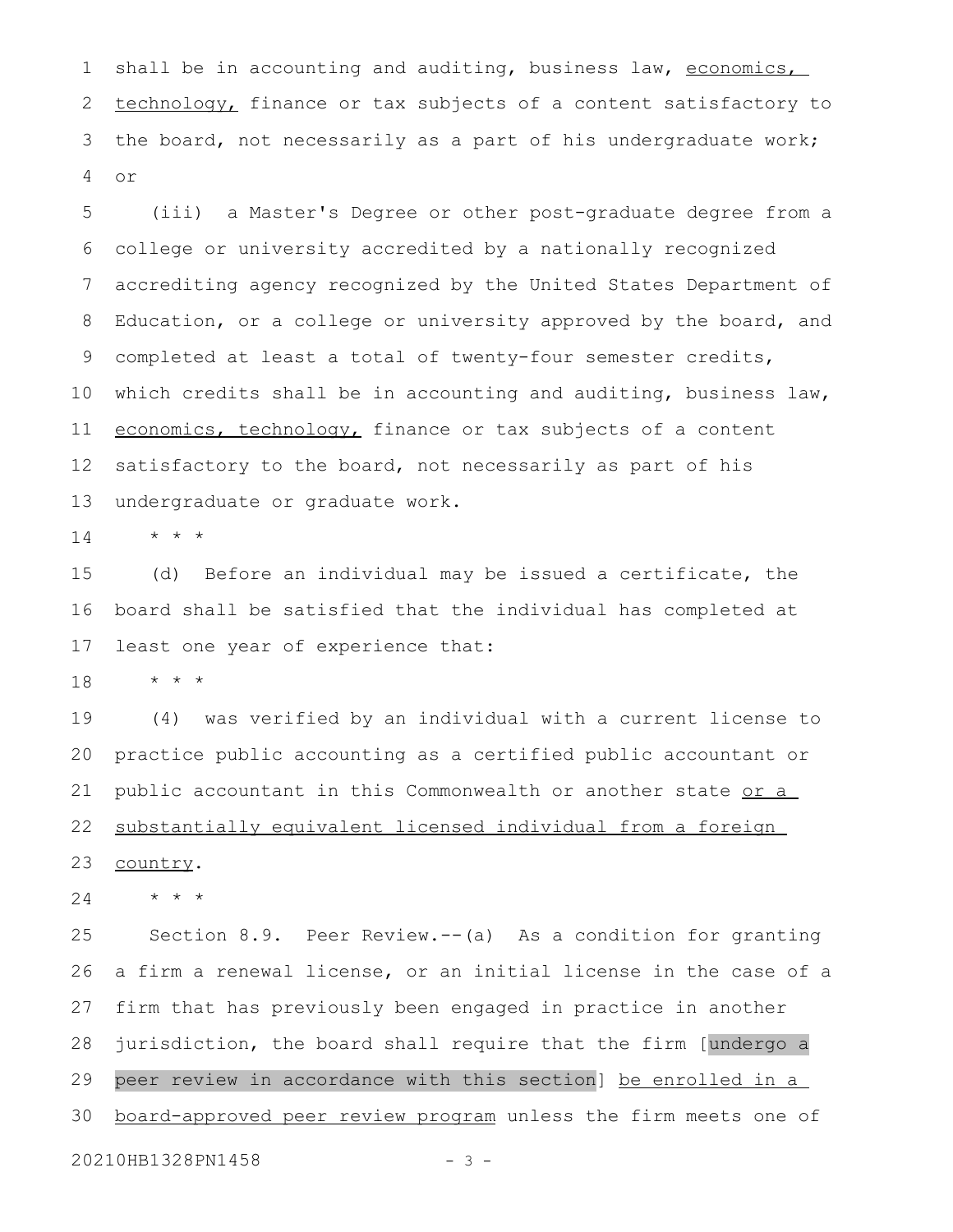shall be in accounting and auditing, business law, economics, technology, finance or tax subjects of a content satisfactory to the board, not necessarily as a part of his undergraduate work; or 1 2 3 4

(iii) a Master's Degree or other post-graduate degree from a college or university accredited by a nationally recognized accrediting agency recognized by the United States Department of Education, or a college or university approved by the board, and completed at least a total of twenty-four semester credits, which credits shall be in accounting and auditing, business law, economics, technology, finance or tax subjects of a content satisfactory to the board, not necessarily as part of his undergraduate or graduate work. 5 6 7 8 9 10 11 12 13

\* \* \* 14

(d) Before an individual may be issued a certificate, the board shall be satisfied that the individual has completed at least one year of experience that: 15 16 17

\* \* \* 18

(4) was verified by an individual with a current license to practice public accounting as a certified public accountant or public accountant in this Commonwealth or another state or a substantially equivalent licensed individual from a foreign country. 19 20 21 22 23

\* \* \* 24

Section 8.9. Peer Review.--(a) As a condition for granting a firm a renewal license, or an initial license in the case of a firm that has previously been engaged in practice in another jurisdiction, the board shall require that the firm [undergo a peer review in accordance with this section] be enrolled in a board-approved peer review program unless the firm meets one of 25 26 27 28 29 30

20210HB1328PN1458 - 3 -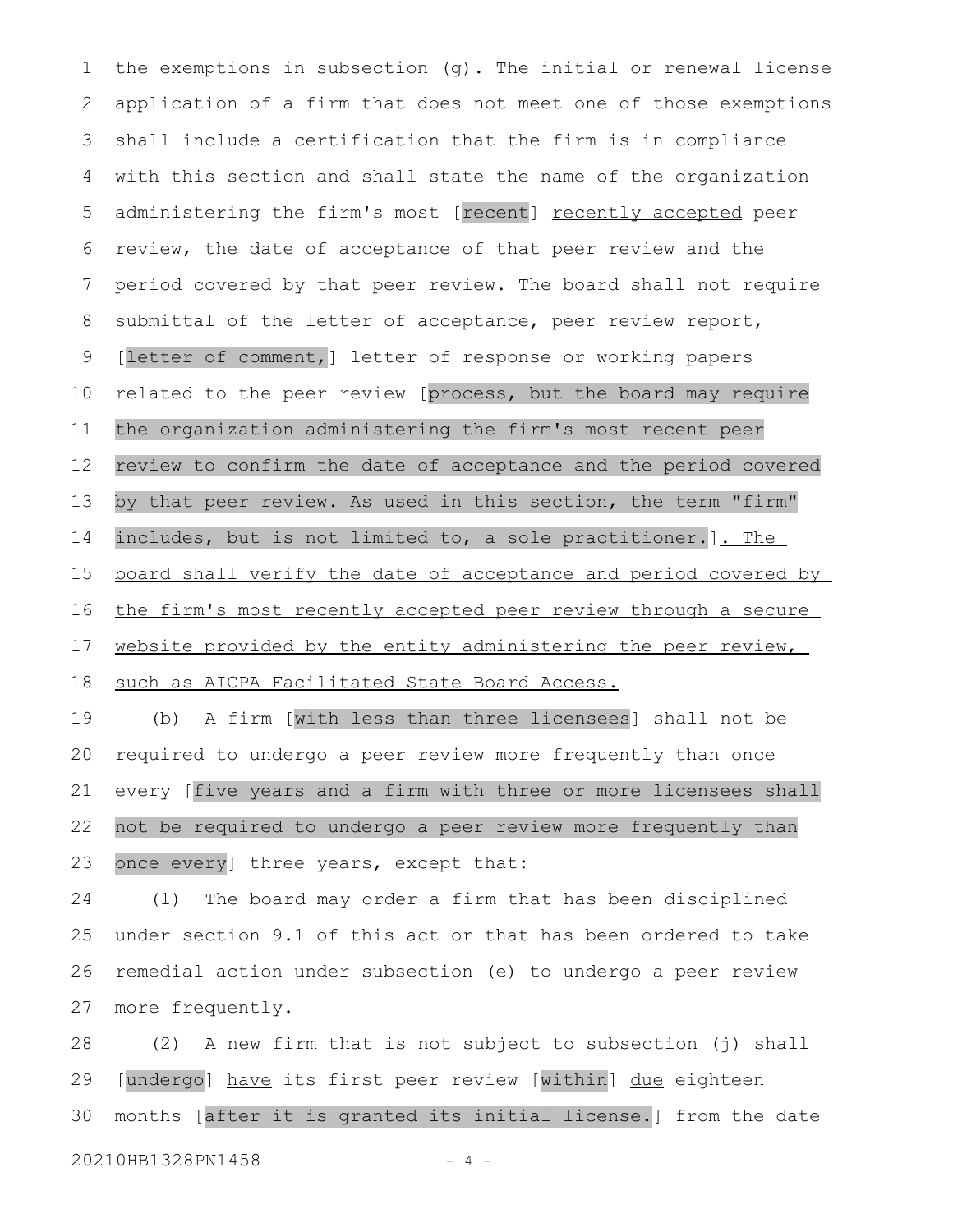the exemptions in subsection (g). The initial or renewal license application of a firm that does not meet one of those exemptions shall include a certification that the firm is in compliance with this section and shall state the name of the organization administering the firm's most [recent] recently accepted peer review, the date of acceptance of that peer review and the period covered by that peer review. The board shall not require submittal of the letter of acceptance, peer review report, [letter of comment,] letter of response or working papers related to the peer review [process, but the board may require the organization administering the firm's most recent peer review to confirm the date of acceptance and the period covered by that peer review. As used in this section, the term "firm" includes, but is not limited to, a sole practitioner. ]. The board shall verify the date of acceptance and period covered by the firm's most recently accepted peer review through a secure website provided by the entity administering the peer review, such as AICPA Facilitated State Board Access. 1 2 3 4 5 6 7 8 9 10 11 12 13 14 15 16 17 18

(b) A firm [with less than three licensees] shall not be required to undergo a peer review more frequently than once every [five years and a firm with three or more licensees shall not be required to undergo a peer review more frequently than once every] three years, except that: 19 20 21 22 23

(1) The board may order a firm that has been disciplined under section 9.1 of this act or that has been ordered to take remedial action under subsection (e) to undergo a peer review more frequently. 24 25 26 27

(2) A new firm that is not subject to subsection (j) shall [undergo] have its first peer review [within] due eighteen months [after it is granted its initial license.] from the date 20210HB1328PN1458 - 4 -28 29 30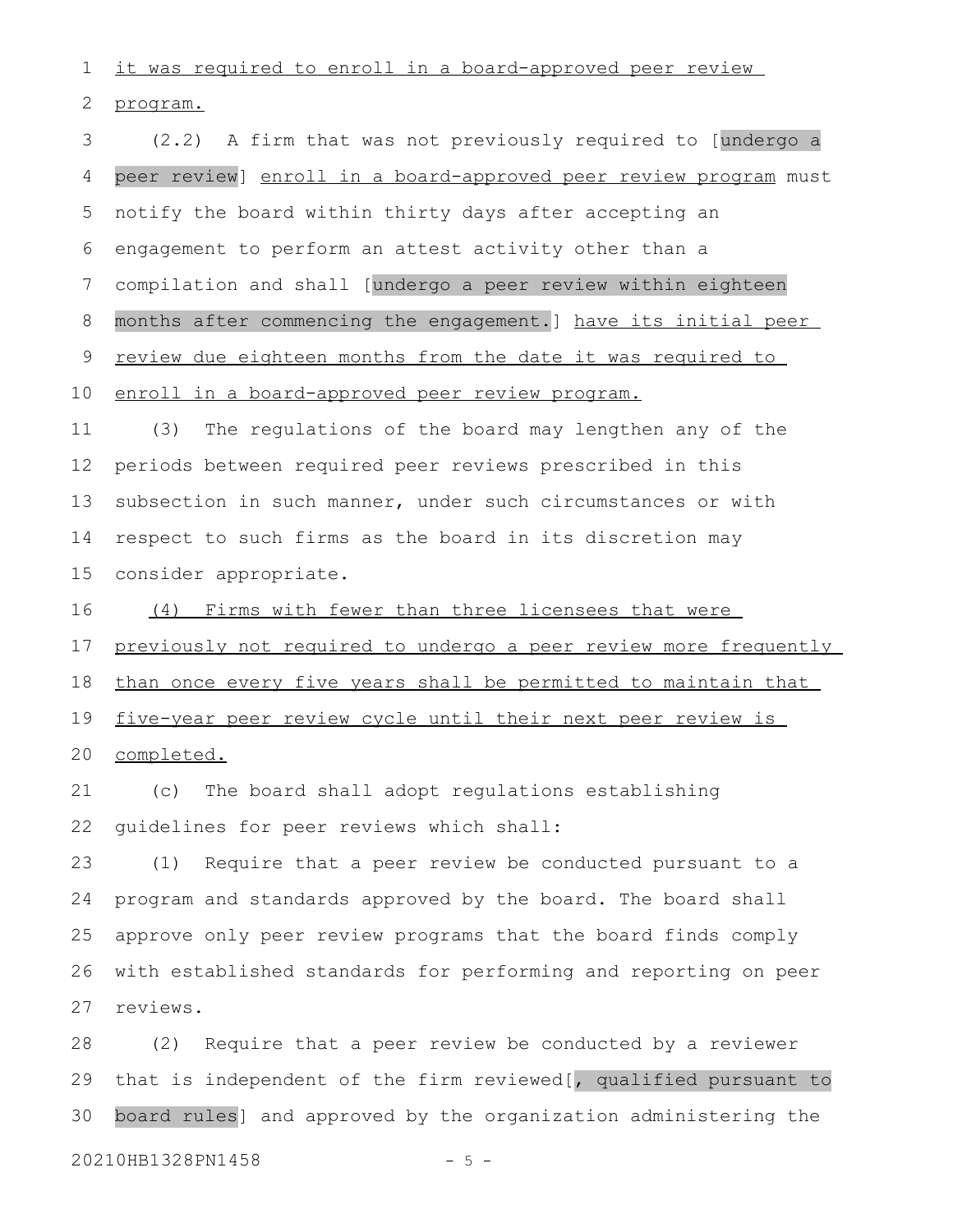it was required to enroll in a board-approved peer review 1

program. 2

(2.2) A firm that was not previously required to [undergo a peer review] enroll in a board-approved peer review program must notify the board within thirty days after accepting an engagement to perform an attest activity other than a compilation and shall [undergo a peer review within eighteen months after commencing the engagement.] have its initial peer review due eighteen months from the date it was required to enroll in a board-approved peer review program. (3) The regulations of the board may lengthen any of the periods between required peer reviews prescribed in this subsection in such manner, under such circumstances or with respect to such firms as the board in its discretion may consider appropriate. (4) Firms with fewer than three licensees that were previously not required to undergo a peer review more frequently than once every five years shall be permitted to maintain that five-year peer review cycle until their next peer review is completed. (c) The board shall adopt regulations establishing guidelines for peer reviews which shall: (1) Require that a peer review be conducted pursuant to a program and standards approved by the board. The board shall approve only peer review programs that the board finds comply with established standards for performing and reporting on peer reviews. (2) Require that a peer review be conducted by a reviewer 3 4 5 6 7 8 9 10 11 12 13 14 15 16 17 18 19 20 21 22 23 24 25 26 27 28

that is independent of the firm reviewed[, qualified pursuant to board rules] and approved by the organization administering the 29 30

20210HB1328PN1458 - 5 -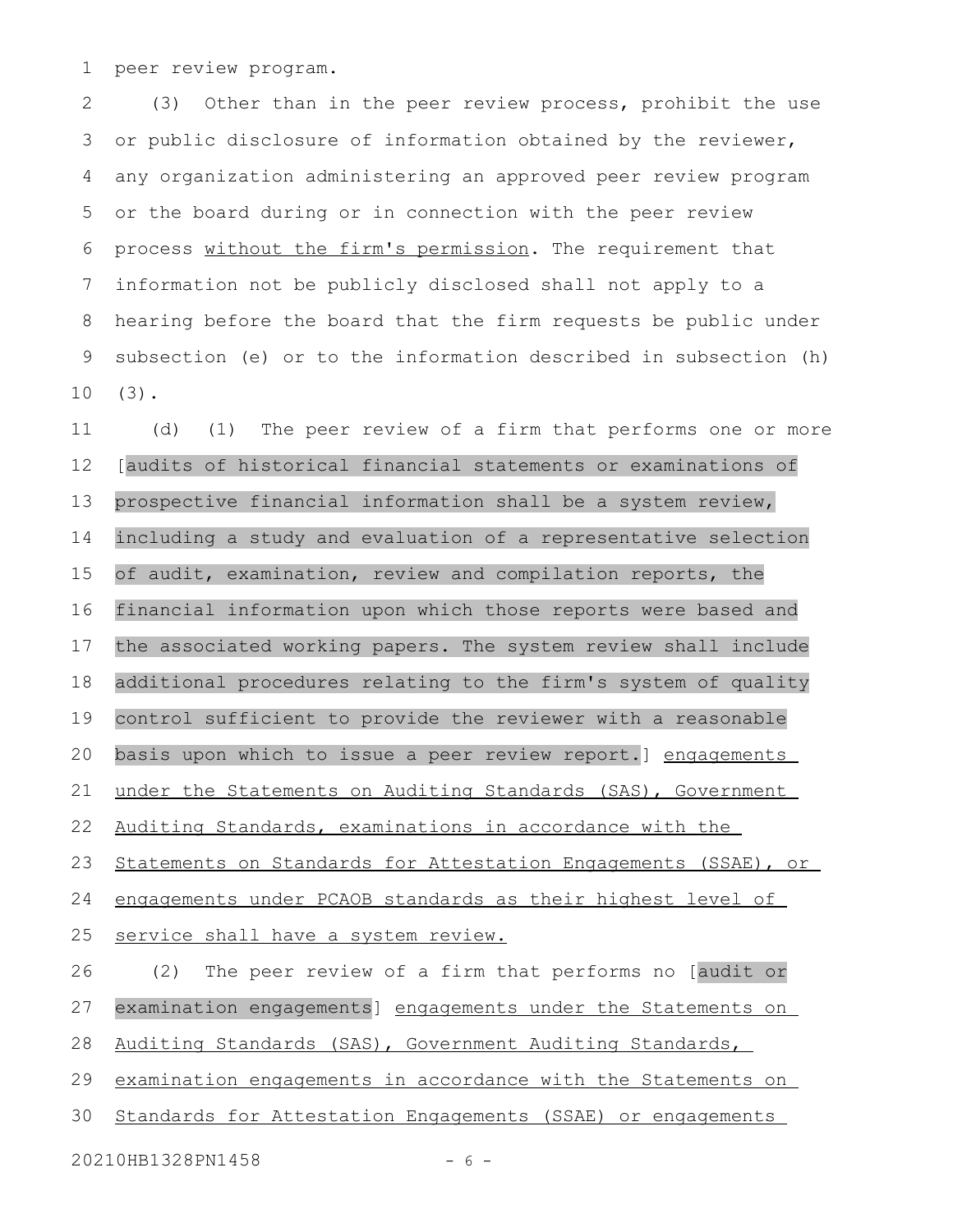peer review program. 1

(3) Other than in the peer review process, prohibit the use or public disclosure of information obtained by the reviewer, any organization administering an approved peer review program or the board during or in connection with the peer review process without the firm's permission. The requirement that information not be publicly disclosed shall not apply to a hearing before the board that the firm requests be public under subsection (e) or to the information described in subsection (h) (3). 2 3 4 5 6 7 8 9 10

(d) (1) The peer review of a firm that performs one or more [audits of historical financial statements or examinations of prospective financial information shall be a system review, including a study and evaluation of a representative selection of audit, examination, review and compilation reports, the financial information upon which those reports were based and the associated working papers. The system review shall include additional procedures relating to the firm's system of quality control sufficient to provide the reviewer with a reasonable basis upon which to issue a peer review report.] engagements under the Statements on Auditing Standards (SAS), Government Auditing Standards, examinations in accordance with the Statements on Standards for Attestation Engagements (SSAE), or engagements under PCAOB standards as their highest level of service shall have a system review. (2) The peer review of a firm that performs no [audit or examination engagements] engagements under the Statements on Auditing Standards (SAS), Government Auditing Standards, examination engagements in accordance with the Statements on Standards for Attestation Engagements (SSAE) or engagements 11 12 13 14 15 16 17 18 19 20 21 22 23 24 25 26 27 28 29 30

20210HB1328PN1458 - 6 -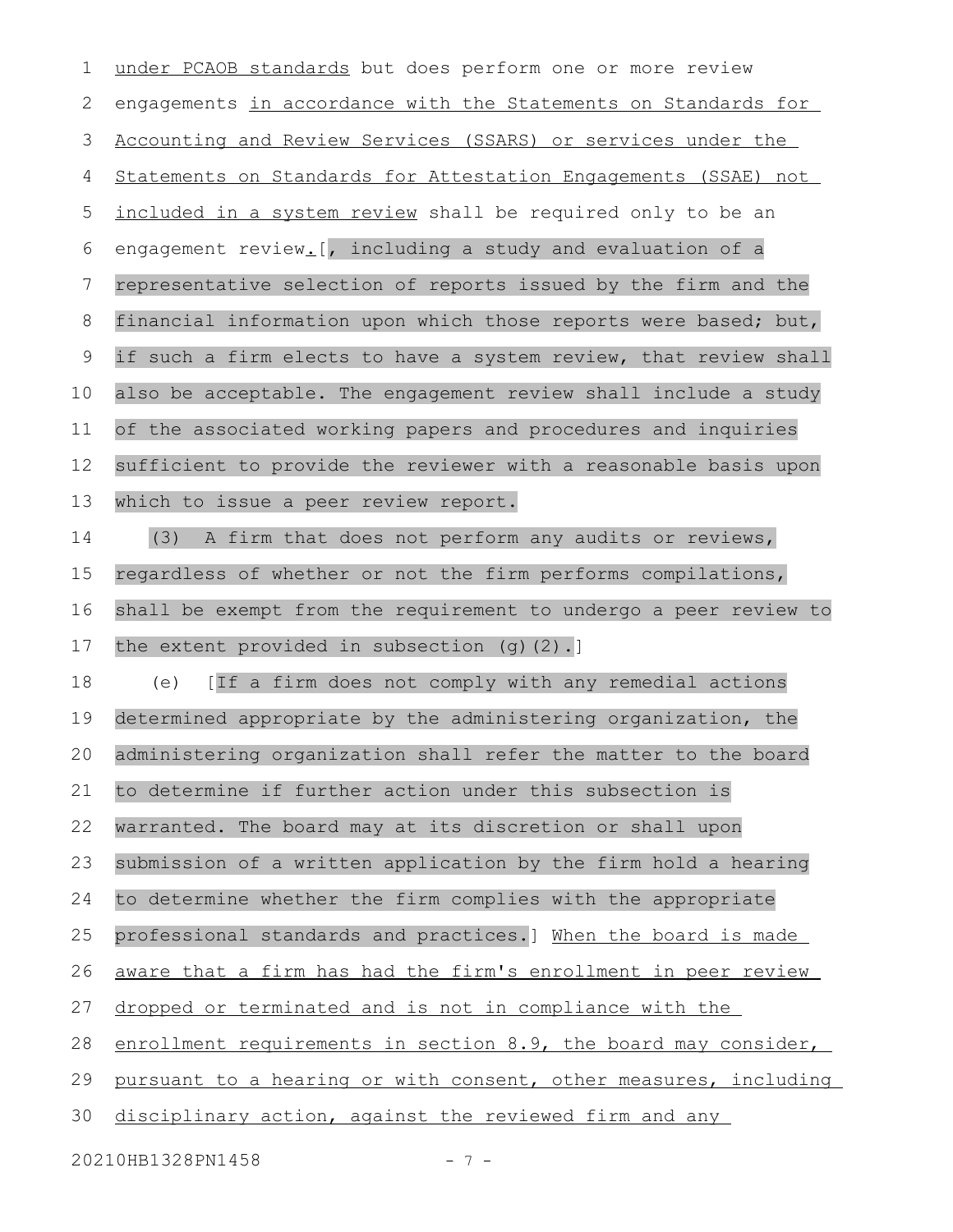under PCAOB standards but does perform one or more review engagements in accordance with the Statements on Standards for Accounting and Review Services (SSARS) or services under the Statements on Standards for Attestation Engagements (SSAE) not included in a system review shall be required only to be an engagement review. [, including a study and evaluation of a representative selection of reports issued by the firm and the financial information upon which those reports were based; but, if such a firm elects to have a system review, that review shall also be acceptable. The engagement review shall include a study of the associated working papers and procedures and inquiries sufficient to provide the reviewer with a reasonable basis upon which to issue a peer review report. (3) A firm that does not perform any audits or reviews, regardless of whether or not the firm performs compilations, shall be exempt from the requirement to undergo a peer review to the extent provided in subsection (g)(2).] (e) [If a firm does not comply with any remedial actions determined appropriate by the administering organization, the administering organization shall refer the matter to the board to determine if further action under this subsection is warranted. The board may at its discretion or shall upon submission of a written application by the firm hold a hearing to determine whether the firm complies with the appropriate professional standards and practices.] When the board is made aware that a firm has had the firm's enrollment in peer review dropped or terminated and is not in compliance with the enrollment requirements in section 8.9, the board may consider, pursuant to a hearing or with consent, other measures, including disciplinary action, against the reviewed firm and any 1 2 3 4 5 6 7 8 9 10 11 12 13 14 15 16 17 18 19 20 21 22 23 24 25 26 27 28 29 30

20210HB1328PN1458 - 7 -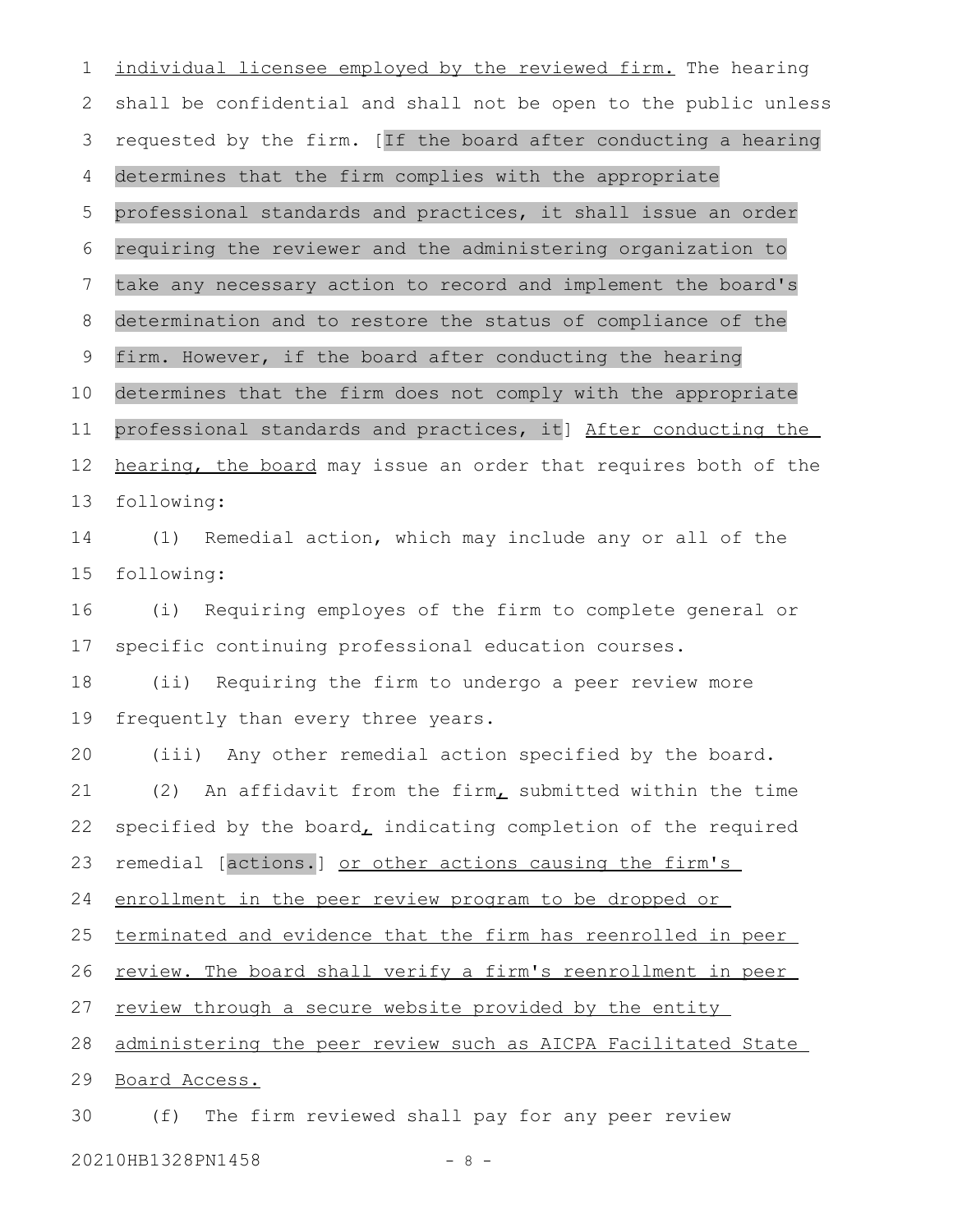individual licensee employed by the reviewed firm. The hearing shall be confidential and shall not be open to the public unless requested by the firm. [If the board after conducting a hearing determines that the firm complies with the appropriate professional standards and practices, it shall issue an order requiring the reviewer and the administering organization to take any necessary action to record and implement the board's determination and to restore the status of compliance of the firm. However, if the board after conducting the hearing determines that the firm does not comply with the appropriate professional standards and practices, it] After conducting the hearing, the board may issue an order that requires both of the following: (1) Remedial action, which may include any or all of the following: (i) Requiring employes of the firm to complete general or specific continuing professional education courses. (ii) Requiring the firm to undergo a peer review more frequently than every three years. (iii) Any other remedial action specified by the board. (2) An affidavit from the firm, submitted within the time specified by the board $<sub>L</sub>$  indicating completion of the required</sub> remedial [actions.] or other actions causing the firm's enrollment in the peer review program to be dropped or terminated and evidence that the firm has reenrolled in peer review. The board shall verify a firm's reenrollment in peer review through a secure website provided by the entity administering the peer review such as AICPA Facilitated State Board Access. (f) The firm reviewed shall pay for any peer review 1 2 3 4 5 6 7 8 9 10 11 12 13 14 15 16 17 18 19 20 21 22 23 24 25 26 27 28 29 30

20210HB1328PN1458 - 8 -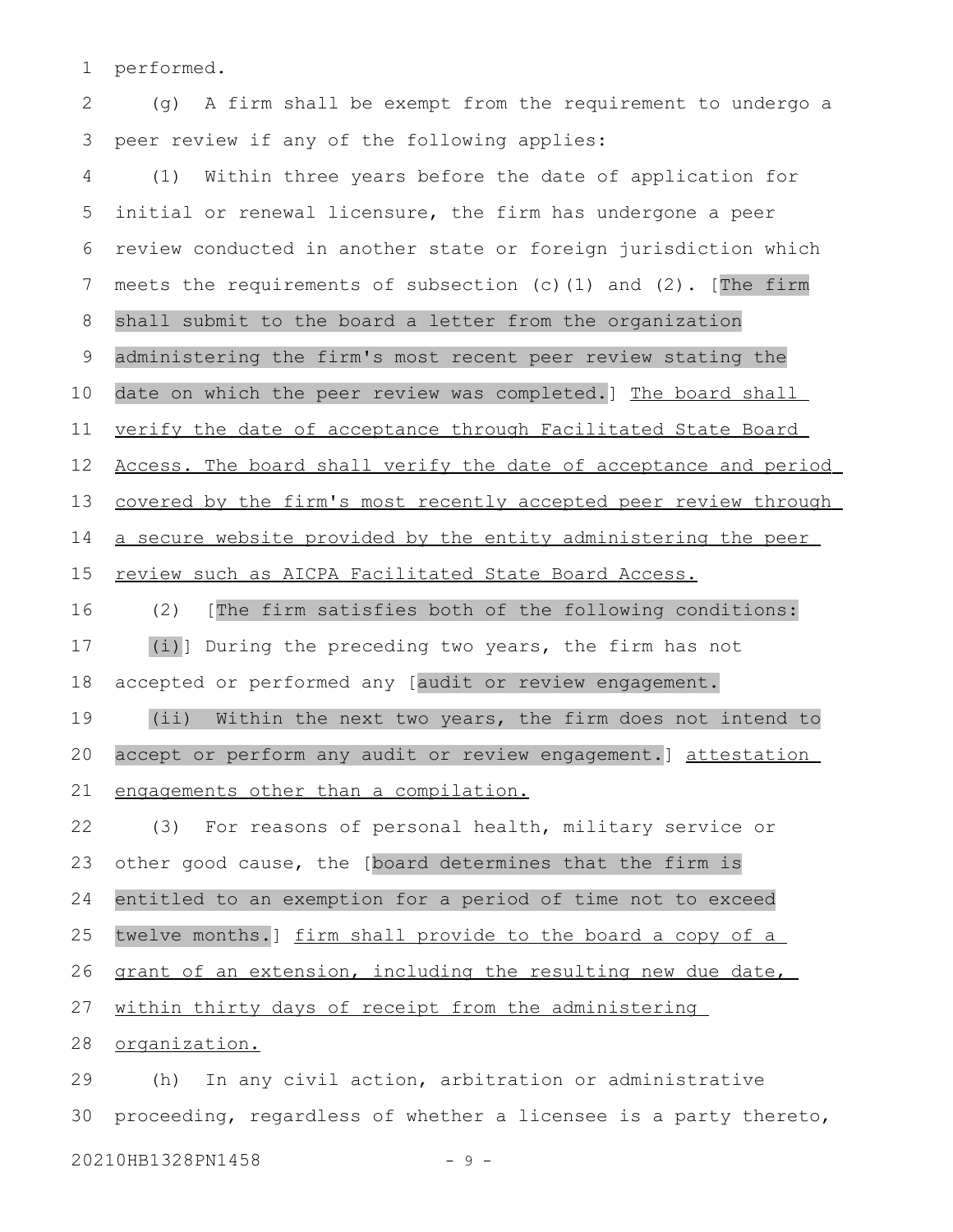performed. 1

(g) A firm shall be exempt from the requirement to undergo a peer review if any of the following applies: 2 3

(1) Within three years before the date of application for initial or renewal licensure, the firm has undergone a peer review conducted in another state or foreign jurisdiction which meets the requirements of subsection (c)(1) and (2). [The firm shall submit to the board a letter from the organization administering the firm's most recent peer review stating the date on which the peer review was completed.] The board shall verify the date of acceptance through Facilitated State Board Access. The board shall verify the date of acceptance and period covered by the firm's most recently accepted peer review through a secure website provided by the entity administering the peer review such as AICPA Facilitated State Board Access. (2) [The firm satisfies both of the following conditions: (i)] During the preceding two years, the firm has not accepted or performed any [audit or review engagement. (ii) Within the next two years, the firm does not intend to accept or perform any audit or review engagement.] attestation engagements other than a compilation. (3) For reasons of personal health, military service or other good cause, the [board determines that the firm is entitled to an exemption for a period of time not to exceed twelve months.] firm shall provide to the board a copy of a 4 5 6 7 8 9 10 11 12 13 14 15 16 17 18 19 20 21 22 23 24 25

grant of an extension, including the resulting new due date, 26

within thirty days of receipt from the administering 27

organization. 28

(h) In any civil action, arbitration or administrative proceeding, regardless of whether a licensee is a party thereto, 20210HB1328PN1458 - 9 -29 30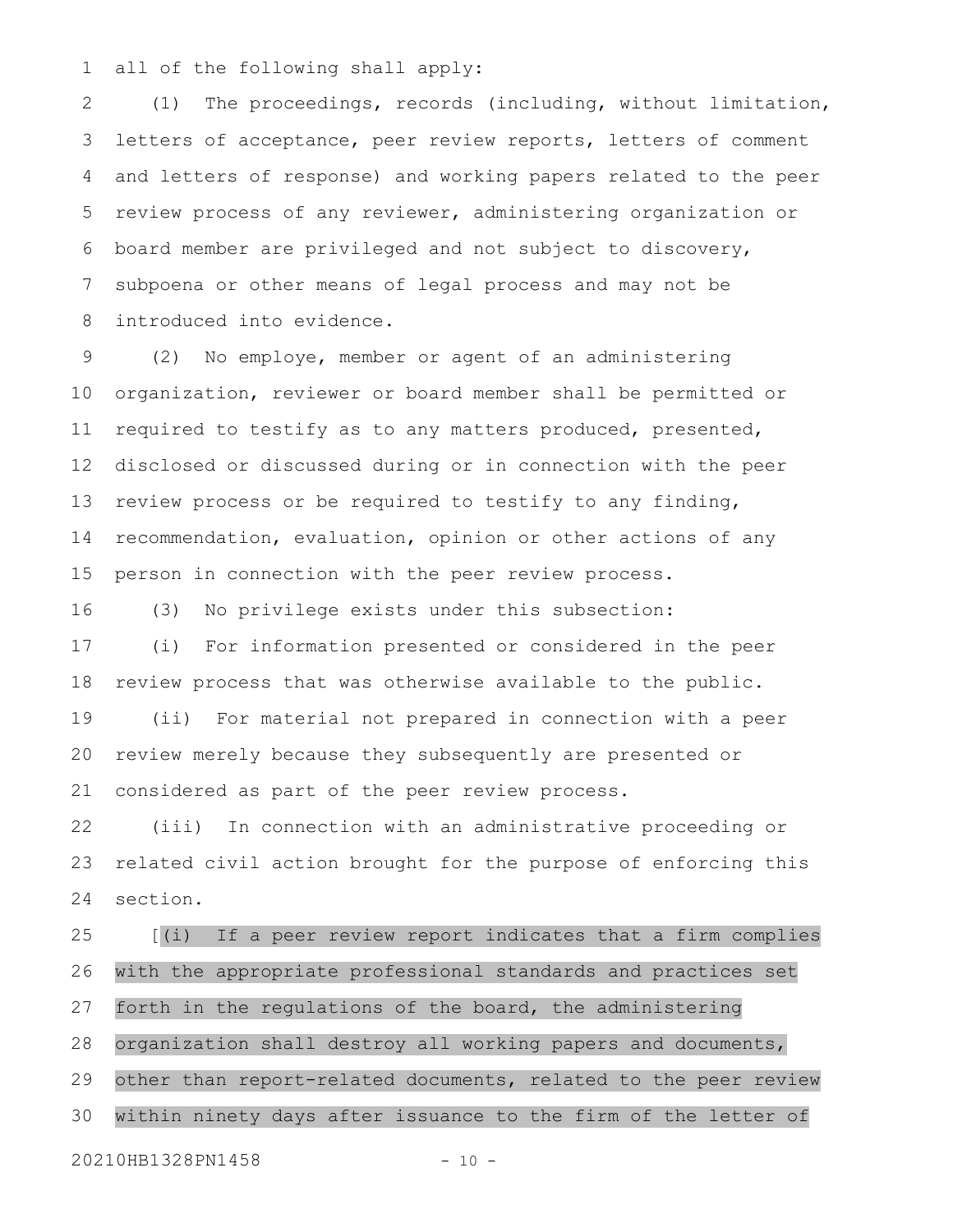all of the following shall apply: 1

(1) The proceedings, records (including, without limitation, letters of acceptance, peer review reports, letters of comment and letters of response) and working papers related to the peer review process of any reviewer, administering organization or board member are privileged and not subject to discovery, subpoena or other means of legal process and may not be introduced into evidence. 2 3 4 5 6 7 8

(2) No employe, member or agent of an administering organization, reviewer or board member shall be permitted or required to testify as to any matters produced, presented, disclosed or discussed during or in connection with the peer review process or be required to testify to any finding, recommendation, evaluation, opinion or other actions of any person in connection with the peer review process. 9 10 11 12 13 14 15

(3) No privilege exists under this subsection: 16

(i) For information presented or considered in the peer review process that was otherwise available to the public. 17 18

(ii) For material not prepared in connection with a peer review merely because they subsequently are presented or considered as part of the peer review process. 19 20 21

(iii) In connection with an administrative proceeding or related civil action brought for the purpose of enforcing this section. 22 23 24

[(i) If a peer review report indicates that a firm complies with the appropriate professional standards and practices set forth in the regulations of the board, the administering organization shall destroy all working papers and documents, other than report-related documents, related to the peer review within ninety days after issuance to the firm of the letter of 25 26 27 28 29 30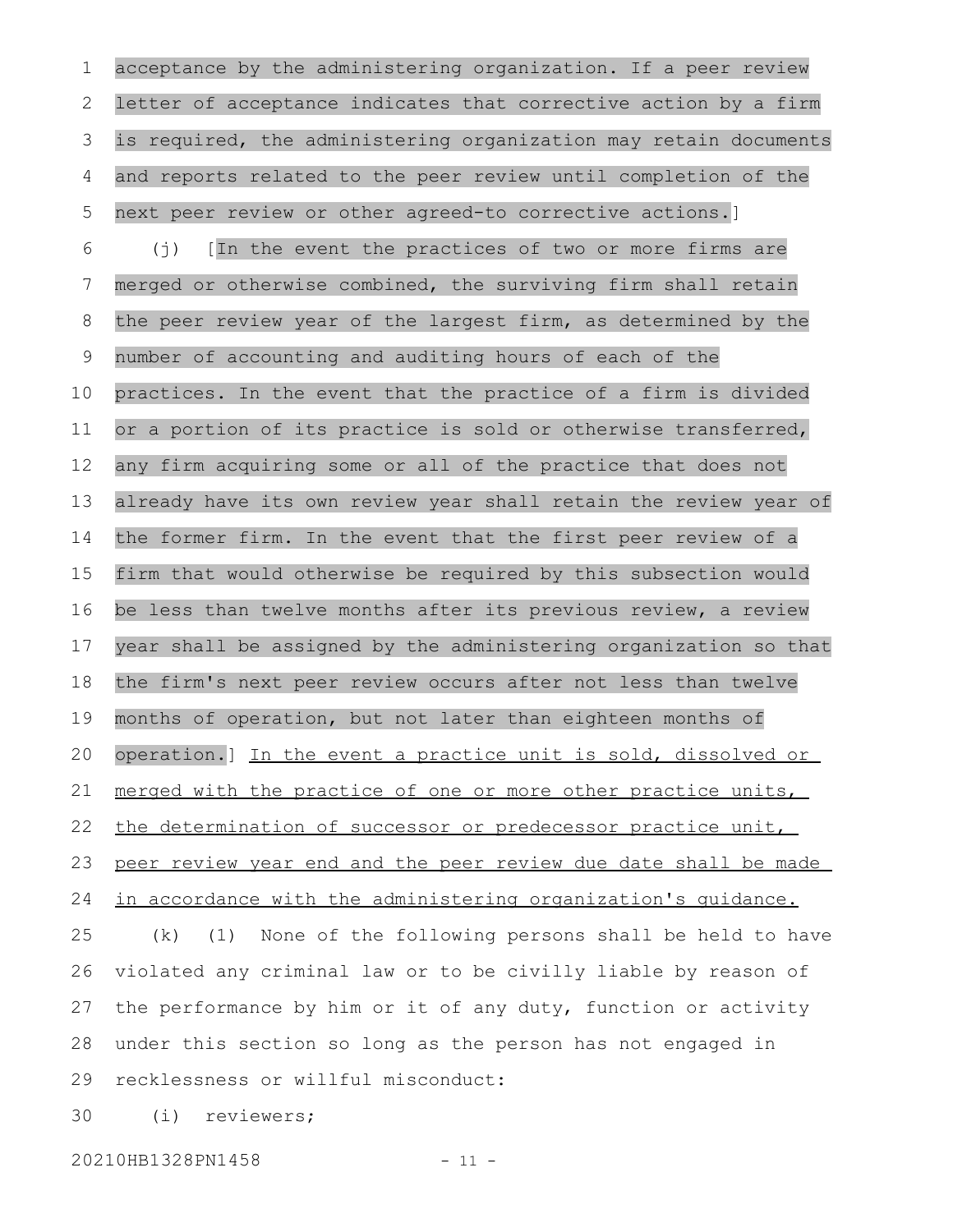acceptance by the administering organization. If a peer review letter of acceptance indicates that corrective action by a firm is required, the administering organization may retain documents and reports related to the peer review until completion of the next peer review or other agreed-to corrective actions.] (j) [In the event the practices of two or more firms are merged or otherwise combined, the surviving firm shall retain the peer review year of the largest firm, as determined by the number of accounting and auditing hours of each of the practices. In the event that the practice of a firm is divided or a portion of its practice is sold or otherwise transferred, any firm acquiring some or all of the practice that does not already have its own review year shall retain the review year of the former firm. In the event that the first peer review of a firm that would otherwise be required by this subsection would be less than twelve months after its previous review, a review year shall be assigned by the administering organization so that the firm's next peer review occurs after not less than twelve months of operation, but not later than eighteen months of operation.] In the event a practice unit is sold, dissolved or merged with the practice of one or more other practice units, the determination of successor or predecessor practice unit, peer review year end and the peer review due date shall be made in accordance with the administering organization's guidance. (k) (1) None of the following persons shall be held to have violated any criminal law or to be civilly liable by reason of the performance by him or it of any duty, function or activity under this section so long as the person has not engaged in recklessness or willful misconduct: (i) reviewers; 1 2 3 4 5 6 7 8 9 10 11 12 13 14 15 16 17 18 19 20 21 22 23 24 25 26 27 28 29 30

20210HB1328PN1458 - 11 -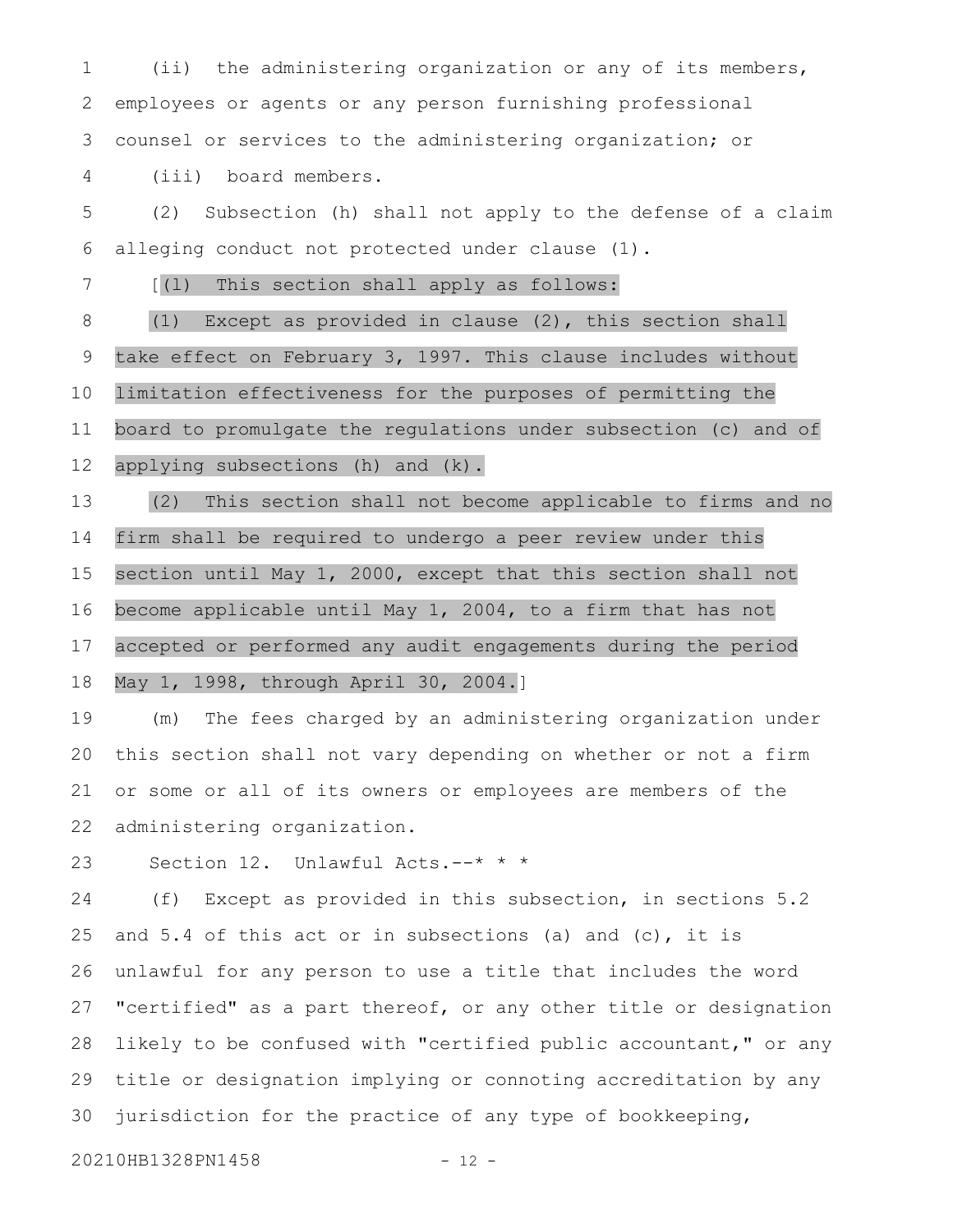(ii) the administering organization or any of its members, employees or agents or any person furnishing professional counsel or services to the administering organization; or 1 2 3

(iii) board members. 4

(2) Subsection (h) shall not apply to the defense of a claim alleging conduct not protected under clause (1). 5 6

[(l) This section shall apply as follows: 7

(1) Except as provided in clause (2), this section shall take effect on February 3, 1997. This clause includes without limitation effectiveness for the purposes of permitting the board to promulgate the regulations under subsection (c) and of applying subsections (h) and (k). 8 9 10 11 12

(2) This section shall not become applicable to firms and no firm shall be required to undergo a peer review under this section until May 1, 2000, except that this section shall not become applicable until May 1, 2004, to a firm that has not accepted or performed any audit engagements during the period May 1, 1998, through April 30, 2004.] 13 14 15 16 17 18

(m) The fees charged by an administering organization under this section shall not vary depending on whether or not a firm or some or all of its owners or employees are members of the administering organization. 19 20 21 22

Section 12. Unlawful Acts.--\* \* \* 23

(f) Except as provided in this subsection, in sections 5.2 and 5.4 of this act or in subsections (a) and (c), it is unlawful for any person to use a title that includes the word "certified" as a part thereof, or any other title or designation likely to be confused with "certified public accountant," or any title or designation implying or connoting accreditation by any jurisdiction for the practice of any type of bookkeeping, 24 25 26 27 28 29 30

20210HB1328PN1458 - 12 -